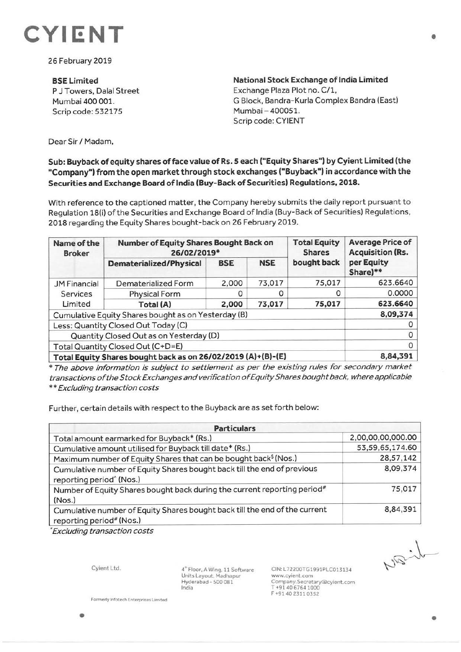

26 February 2019

**BSELimited**  P J Towers, Dalal Street Mumbai 400 001. Scrip code: 532175

**National Stock Exchange of India Limited**  Exchange Plaza Plot no. C/1, G Block, Bandra-Kurla Complex Bandra (East) Mumbai - 400051. Scrip code: CYIENT

Dear Sir/ Madam,

## **Sub: Buyback of equity shares offace value of Rs. S each ("Equity Shares") by Cyient Limited (the "Company") from the open market through stock exchanges ("Buyback") in accordance with the Securities and Exchange Board of India (Buy-Back of Securities) Regulations, 2018.**

With reference to the captioned matter, the Company hereby submits the daily report pursuant to Regulation 18(i) of the Securities and Exchange Board of India (Buy-Back of Securities) Regulations, 2018 regarding the Equity Shares bought-back on 26 February 2019.

| Name of the<br><b>Broker</b>                                 | Number of Equity Shares Bought Back on<br>26/02/2019* |            |            | <b>Total Equity</b><br><b>Shares</b> | <b>Average Price of</b><br><b>Acquisition (Rs.</b> |
|--------------------------------------------------------------|-------------------------------------------------------|------------|------------|--------------------------------------|----------------------------------------------------|
|                                                              | <b>Dematerialized/Physical</b>                        | <b>BSE</b> | <b>NSE</b> | bought back                          | per Equity<br>Share)**                             |
| <b>JM Financial</b><br>Services<br>Limited                   | Dematerialized Form                                   | 2,000      | 73,017     | 75,017                               | 623.6640                                           |
|                                                              | <b>Physical Form</b>                                  |            |            | 0                                    | 0.0000                                             |
|                                                              | Total (A)                                             | 2,000      | 73,017     | 75,017                               | 623.6640                                           |
| Cumulative Equity Shares bought as on Yesterday (B)          |                                                       |            |            |                                      | 8,09,374                                           |
| Less: Quantity Closed Out Today (C)                          |                                                       |            |            |                                      |                                                    |
| Quantity Closed Out as on Yesterday (D)                      |                                                       |            |            |                                      |                                                    |
| Total Quantity Closed Out (C+D=E)                            |                                                       |            |            |                                      |                                                    |
| Total Equity Shares bought back as on 26/02/2019 (A)+(B)-(E) |                                                       |            |            |                                      | 8,84,391                                           |

\* The above information is subject to settlement as per the existing rules for secondary market transactions of the Stock Exchanges and verification of Equity Shares bought back, where applicable \*\*Excluding transaction costs

Further, certain details with respect to the Buyback are as set forth below:

| <b>Particulars</b>                                                                                              |                   |  |  |  |
|-----------------------------------------------------------------------------------------------------------------|-------------------|--|--|--|
| Total amount earmarked for Buyback* (Rs.)                                                                       | 2,00,00,00,000.00 |  |  |  |
| Cumulative amount utilised for Buyback till date* (Rs.)                                                         | 53,59,65,174.60   |  |  |  |
| Maximum number of Equity Shares that can be bought back <sup>\$</sup> (Nos.)                                    | 28,57,142         |  |  |  |
| Cumulative number of Equity Shares bought back till the end of previous<br>reporting period <sup>^</sup> (Nos.) | 8,09,374          |  |  |  |
| Number of Equity Shares bought back during the current reporting period <sup>#</sup><br>(Nos.)                  | 75,017            |  |  |  |
| Cumulative number of Equity Shares bought back till the end of the current<br>reporting period# (Nos.)          | 8,84,391          |  |  |  |

\* Excluding transaction costs

Cyient Ltd.

•

4<sup>th</sup> Floor, A Wing, 11 Software Units Layout. Madhapur Hyderabad - 500 081 India

CIN:L72200TG1991PLC013134 www.cyienl.com Company.Secretary®cyient.com T +91 40 6764 1000 F +914023110352

**Formerly Infotech Enterprises Limited** 

Visib